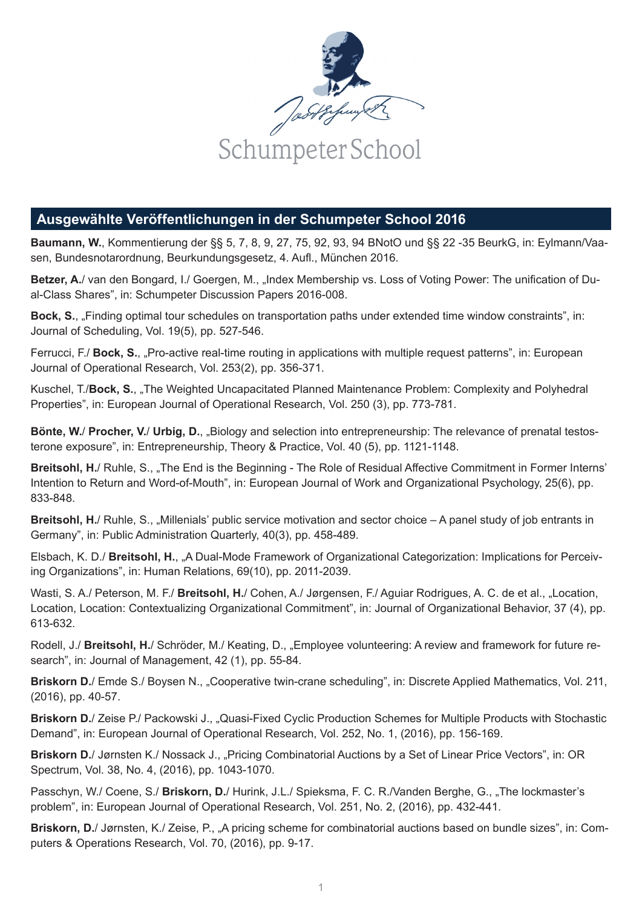

## **Ausgewählte Veröffentlichungen in der Schumpeter School 2016**

**Baumann, W.**, Kommentierung der §§ 5, 7, 8, 9, 27, 75, 92, 93, 94 BNotO und §§ 22 -35 BeurkG, in: Eylmann/Vaasen, Bundesnotarordnung, Beurkundungsgesetz, 4. Aufl., München 2016.

**Betzer, A.**/ van den Bongard, I./ Goergen, M., "Index Membership vs. Loss of Voting Power: The unification of Dual-Class Shares", in: Schumpeter Discussion Papers 2016-008.

**Bock, S.**, "Finding optimal tour schedules on transportation paths under extended time window constraints", in: Journal of Scheduling, Vol. 19(5), pp. 527-546.

Ferrucci, F./ **Bock, S.**, "Pro-active real-time routing in applications with multiple request patterns", in: European Journal of Operational Research, Vol. 253(2), pp. 356-371.

Kuschel, T./**Bock, S.**, "The Weighted Uncapacitated Planned Maintenance Problem: Complexity and Polyhedral Properties", in: European Journal of Operational Research, Vol. 250 (3), pp. 773-781.

**Bönte, W.**/ **Procher, V.**/ **Urbig, D.**, "Biology and selection into entrepreneurship: The relevance of prenatal testosterone exposure", in: Entrepreneurship, Theory & Practice, Vol. 40 (5), pp. 1121-1148.

**Breitsohl, H.**/ Ruhle, S., "The End is the Beginning - The Role of Residual Affective Commitment in Former Interns' Intention to Return and Word-of-Mouth", in: European Journal of Work and Organizational Psychology, 25(6), pp. 833-848.

**Breitsohl, H.**/ Ruhle, S., "Millenials' public service motivation and sector choice – A panel study of job entrants in Germany", in: Public Administration Quarterly, 40(3), pp. 458-489.

Elsbach, K. D./ **Breitsohl, H.**, "A Dual-Mode Framework of Organizational Categorization: Implications for Perceiving Organizations", in: Human Relations, 69(10), pp. 2011-2039.

Wasti, S. A./ Peterson, M. F./ **Breitsohl, H.**/ Cohen, A./ Jørgensen, F./ Aguiar Rodrigues, A. C. de et al., "Location, Location, Location: Contextualizing Organizational Commitment", in: Journal of Organizational Behavior, 37 (4), pp. 613-632.

Rodell, J./ **Breitsohl, H.**/ Schröder, M./ Keating, D., "Employee volunteering: A review and framework for future research", in: Journal of Management, 42 (1), pp. 55-84.

**Briskorn D.**/ Emde S./ Boysen N., "Cooperative twin-crane scheduling", in: Discrete Applied Mathematics, Vol. 211, (2016), pp. 40-57.

**Briskorn D.**/ Zeise P./ Packowski J., "Quasi-Fixed Cyclic Production Schemes for Multiple Products with Stochastic Demand", in: European Journal of Operational Research, Vol. 252, No. 1, (2016), pp. 156-169.

**Briskorn D.**/ Jørnsten K./ Nossack J., "Pricing Combinatorial Auctions by a Set of Linear Price Vectors", in: OR Spectrum, Vol. 38, No. 4, (2016), pp. 1043-1070.

Passchyn, W./ Coene, S./ **Briskorn, D.**/ Hurink, J.L./ Spieksma, F. C. R./Vanden Berghe, G., "The lockmaster's problem", in: European Journal of Operational Research, Vol. 251, No. 2, (2016), pp. 432-441.

**Briskorn, D.**/ Jørnsten, K./ Zeise, P., "A pricing scheme for combinatorial auctions based on bundle sizes", in: Computers & Operations Research, Vol. 70, (2016), pp. 9-17.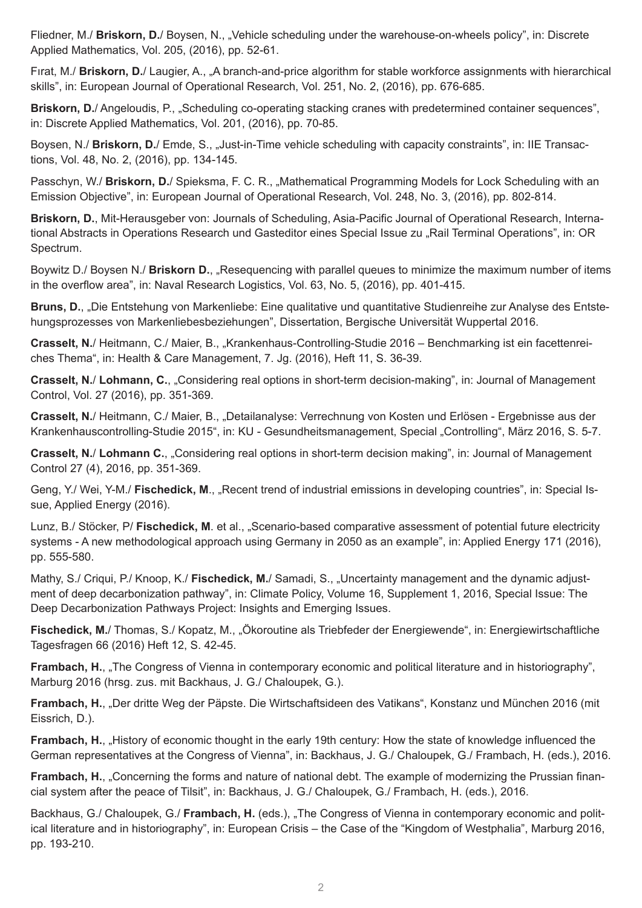Fliedner, M./ **Briskorn, D.**/ Boysen, N., "Vehicle scheduling under the warehouse-on-wheels policy", in: Discrete Applied Mathematics, Vol. 205, (2016), pp. 52-61.

Fırat, M./ **Briskorn, D.**/ Laugier, A., "A branch-and-price algorithm for stable workforce assignments with hierarchical skills", in: European Journal of Operational Research, Vol. 251, No. 2, (2016), pp. 676-685.

**Briskorn, D.**/ Angeloudis, P., "Scheduling co-operating stacking cranes with predetermined container sequences", in: Discrete Applied Mathematics, Vol. 201, (2016), pp. 70-85.

Boysen, N./ **Briskorn, D.**/ Emde, S., "Just-in-Time vehicle scheduling with capacity constraints", in: IIE Transactions, Vol. 48, No. 2, (2016), pp. 134-145.

Passchyn, W./ Briskorn, D./ Spieksma, F. C. R., "Mathematical Programming Models for Lock Scheduling with an Emission Objective", in: European Journal of Operational Research, Vol. 248, No. 3, (2016), pp. 802-814.

**Briskorn, D.**, Mit-Herausgeber von: Journals of Scheduling, Asia-Pacific Journal of Operational Research, International Abstracts in Operations Research und Gasteditor eines Special Issue zu "Rail Terminal Operations", in: OR Spectrum.

Boywitz D./ Boysen N./ **Briskorn D.**, "Resequencing with parallel queues to minimize the maximum number of items in the overflow area", in: Naval Research Logistics, Vol. 63, No. 5, (2016), pp. 401-415.

Bruns, D., "Die Entstehung von Markenliebe: Eine qualitative und quantitative Studienreihe zur Analyse des Entstehungsprozesses von Markenliebesbeziehungen", Dissertation, Bergische Universität Wuppertal 2016.

**Crasselt, N.**/ Heitmann, C./ Maier, B., "Krankenhaus-Controlling-Studie 2016 – Benchmarking ist ein facettenreiches Thema", in: Health & Care Management, 7. Jg. (2016), Heft 11, S. 36-39.

**Crasselt, N.**/ **Lohmann, C.**, "Considering real options in short-term decision-making", in: Journal of Management Control, Vol. 27 (2016), pp. 351-369.

**Crasselt, N.**/ Heitmann, C./ Maier, B., "Detailanalyse: Verrechnung von Kosten und Erlösen - Ergebnisse aus der Krankenhauscontrolling-Studie 2015", in: KU - Gesundheitsmanagement, Special "Controlling", März 2016, S. 5-7.

**Crasselt, N.**/ **Lohmann C.**, "Considering real options in short-term decision making", in: Journal of Management Control 27 (4), 2016, pp. 351-369.

Geng, Y./ Wei, Y-M./ **Fischedick, M**., "Recent trend of industrial emissions in developing countries", in: Special Issue, Applied Energy (2016).

Lunz, B./ Stöcker, P/ **Fischedick, M**. et al., "Scenario-based comparative assessment of potential future electricity systems - A new methodological approach using Germany in 2050 as an example", in: Applied Energy 171 (2016), pp. 555-580.

Mathy, S./ Criqui, P./ Knoop, K./ Fischedick, M./ Samadi, S., "Uncertainty management and the dynamic adjustment of deep decarbonization pathway", in: Climate Policy, Volume 16, Supplement 1, 2016, Special Issue: The Deep Decarbonization Pathways Project: Insights and Emerging Issues.

**Fischedick, M.**/ Thomas, S./ Kopatz, M., "Ökoroutine als Triebfeder der Energiewende", in: Energiewirtschaftliche Tagesfragen 66 (2016) Heft 12, S. 42-45.

**Frambach, H., "The Congress of Vienna in contemporary economic and political literature and in historiography",** Marburg 2016 (hrsg. zus. mit Backhaus, J. G./ Chaloupek, G.).

Frambach, H., "Der dritte Weg der Päpste. Die Wirtschaftsideen des Vatikans", Konstanz und München 2016 (mit Eissrich, D.).

**Frambach, H., ... History of economic thought in the early 19th century: How the state of knowledge influenced the** German representatives at the Congress of Vienna", in: Backhaus, J. G./ Chaloupek, G./ Frambach, H. (eds.), 2016.

**Frambach, H., "Concerning the forms and nature of national debt. The example of modernizing the Prussian finan**cial system after the peace of Tilsit", in: Backhaus, J. G./ Chaloupek, G./ Frambach, H. (eds.), 2016.

Backhaus, G./ Chaloupek, G./ **Frambach, H.** (eds.), "The Congress of Vienna in contemporary economic and political literature and in historiography", in: European Crisis – the Case of the "Kingdom of Westphalia", Marburg 2016, pp. 193-210.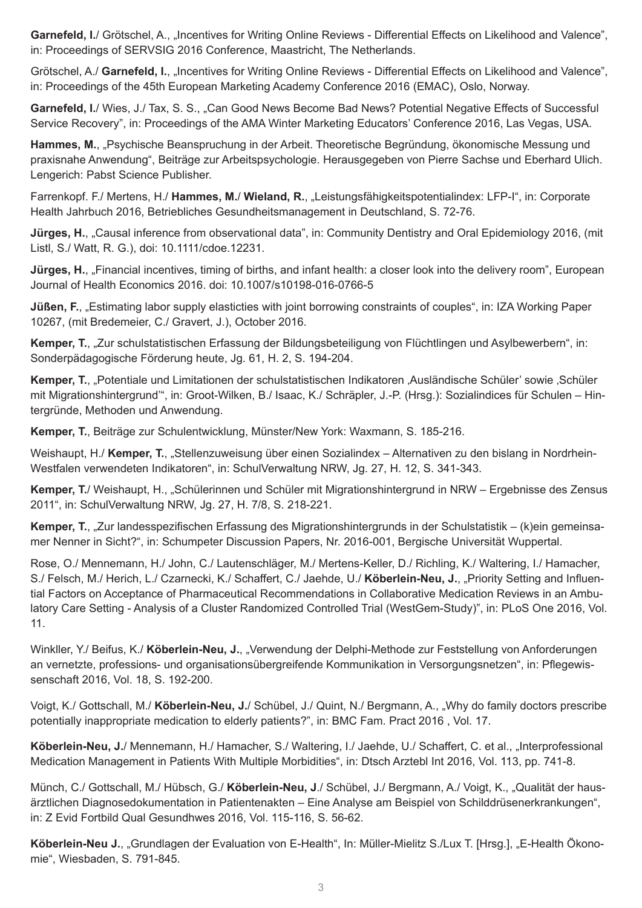**Garnefeld, I.**/ Grötschel, A., "Incentives for Writing Online Reviews - Differential Effects on Likelihood and Valence", in: Proceedings of SERVSIG 2016 Conference, Maastricht, The Netherlands.

Grötschel, A./ **Garnefeld, I.**, "Incentives for Writing Online Reviews - Differential Effects on Likelihood and Valence", in: Proceedings of the 45th European Marketing Academy Conference 2016 (EMAC), Oslo, Norway.

**Garnefeld, I.**/ Wies, J./ Tax, S. S., "Can Good News Become Bad News? Potential Negative Effects of Successful Service Recovery", in: Proceedings of the AMA Winter Marketing Educators' Conference 2016, Las Vegas, USA.

**Hammes, M.**, "Psychische Beanspruchung in der Arbeit. Theoretische Begründung, ökonomische Messung und praxisnahe Anwendung", Beiträge zur Arbeitspsychologie. Herausgegeben von Pierre Sachse und Eberhard Ulich. Lengerich: Pabst Science Publisher.

Farrenkopf. F./ Mertens, H./ **Hammes, M.**/ **Wieland, R.**, "Leistungsfähigkeitspotentialindex: LFP-I", in: Corporate Health Jahrbuch 2016, Betriebliches Gesundheitsmanagement in Deutschland, S. 72-76.

**Jürges, H.**, "Causal inference from observational data", in: Community Dentistry and Oral Epidemiology 2016, (mit Listl, S./ Watt, R. G.), doi: 10.1111/cdoe.12231.

**Jürges, H.**, "Financial incentives, timing of births, and infant health: a closer look into the delivery room", European Journal of Health Economics 2016. doi: 10.1007/s10198-016-0766-5

**Jüßen, F.**, "Estimating labor supply elasticties with joint borrowing constraints of couples", in: IZA Working Paper 10267, (mit Bredemeier, C./ Gravert, J.), October 2016.

**Kemper, T.**, "Zur schulstatistischen Erfassung der Bildungsbeteiligung von Flüchtlingen und Asylbewerbern", in: Sonderpädagogische Förderung heute, Jg. 61, H. 2, S. 194-204.

**Kemper, T.**, "Potentiale und Limitationen der schulstatistischen Indikatoren 'Ausländische Schüler' sowie 'Schüler mit Migrationshintergrund'", in: Groot-Wilken, B./ Isaac, K./ Schräpler, J.-P. (Hrsg.): Sozialindices für Schulen – Hintergründe, Methoden und Anwendung.

**Kemper, T.**, Beiträge zur Schulentwicklung, Münster/New York: Waxmann, S. 185-216.

Weishaupt, H./ **Kemper, T.**, "Stellenzuweisung über einen Sozialindex – Alternativen zu den bislang in Nordrhein-Westfalen verwendeten Indikatoren", in: SchulVerwaltung NRW, Jg. 27, H. 12, S. 341-343.

**Kemper, T.**/ Weishaupt, H., "Schülerinnen und Schüler mit Migrationshintergrund in NRW – Ergebnisse des Zensus 2011", in: SchulVerwaltung NRW, Jg. 27, H. 7/8, S. 218-221.

**Kemper, T.**, "Zur landesspezifischen Erfassung des Migrationshintergrunds in der Schulstatistik – (k)ein gemeinsamer Nenner in Sicht?", in: Schumpeter Discussion Papers, Nr. 2016-001, Bergische Universität Wuppertal.

Rose, O./ Mennemann, H./ John, C./ Lautenschläger, M./ Mertens-Keller, D./ Richling, K./ Waltering, I./ Hamacher, S./ Felsch, M./ Herich, L./ Czarnecki, K./ Schaffert, C./ Jaehde, U./ Köberlein-Neu, J., "Priority Setting and Influential Factors on Acceptance of Pharmaceutical Recommendations in Collaborative Medication Reviews in an Ambulatory Care Setting - Analysis of a Cluster Randomized Controlled Trial (WestGem-Study)", in: PLoS One 2016, Vol. 11.

Winkller, Y./ Beifus, K./ **Köberlein-Neu, J.**, "Verwendung der Delphi-Methode zur Feststellung von Anforderungen an vernetzte, professions- und organisationsübergreifende Kommunikation in Versorgungsnetzen", in: Pflegewissenschaft 2016, Vol. 18, S. 192-200.

Voigt, K./ Gottschall, M./ **Köberlein-Neu, J.**/ Schübel, J./ Quint, N./ Bergmann, A., "Why do family doctors prescribe potentially inappropriate medication to elderly patients?", in: BMC Fam. Pract 2016 , Vol. 17.

Köberlein-Neu, J./ Mennemann, H./ Hamacher, S./ Waltering, I./ Jaehde, U./ Schaffert, C. et al., "Interprofessional Medication Management in Patients With Multiple Morbidities", in: Dtsch Arztebl Int 2016, Vol. 113, pp. 741-8.

Münch, C./ Gottschall, M./ Hübsch, G./ **Köberlein-Neu, J**./ Schübel, J./ Bergmann, A./ Voigt, K., "Qualität der hausärztlichen Diagnosedokumentation in Patientenakten – Eine Analyse am Beispiel von Schilddrüsenerkrankungen", in: Z Evid Fortbild Qual Gesundhwes 2016, Vol. 115-116, S. 56-62.

**Köberlein-Neu J.**, "Grundlagen der Evaluation von E-Health", In: Müller-Mielitz S./Lux T. [Hrsg.], "E-Health Ökonomie", Wiesbaden, S. 791-845.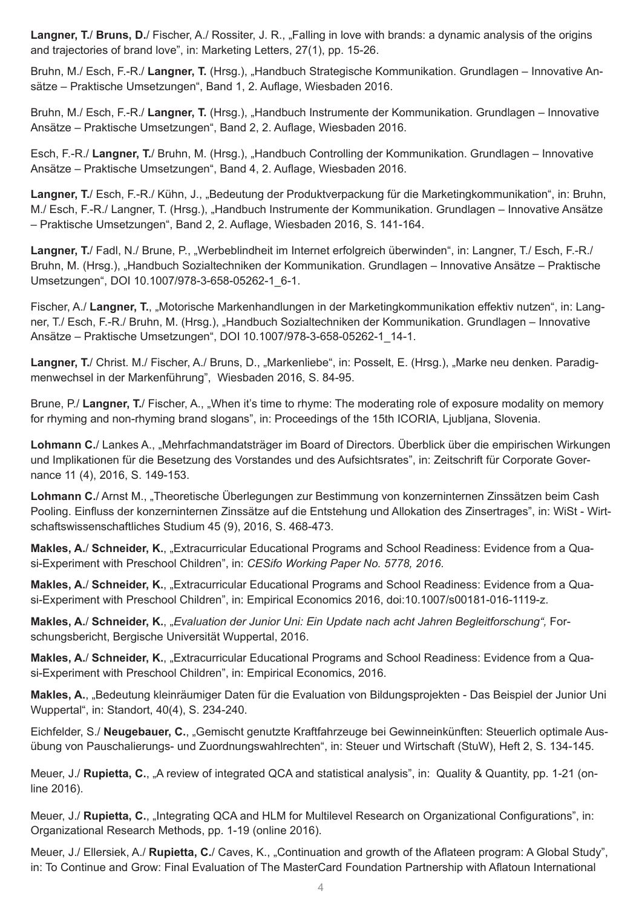**Langner, T. Bruns, D.** Fischer, A. Rossiter, J. R., "Falling in love with brands: a dynamic analysis of the origins and trajectories of brand love", in: Marketing Letters, 27(1), pp. 15-26.

Bruhn, M./ Esch, F.-R./ **Langner, T.** (Hrsg.), "Handbuch Strategische Kommunikation. Grundlagen – Innovative Ansätze – Praktische Umsetzungen", Band 1, 2. Auflage, Wiesbaden 2016.

Bruhn, M./ Esch, F.-R./ Langner, T. (Hrsg.), "Handbuch Instrumente der Kommunikation. Grundlagen – Innovative Ansätze – Praktische Umsetzungen", Band 2, 2. Auflage, Wiesbaden 2016.

Esch, F.-R./ **Langner, T.**/ Bruhn, M. (Hrsg.), "Handbuch Controlling der Kommunikation. Grundlagen – Innovative Ansätze – Praktische Umsetzungen", Band 4, 2. Auflage, Wiesbaden 2016.

Langner, T./ Esch, F.-R./ Kühn, J., "Bedeutung der Produktverpackung für die Marketingkommunikation", in: Bruhn, M./ Esch, F.-R./ Langner, T. (Hrsg.), "Handbuch Instrumente der Kommunikation. Grundlagen – Innovative Ansätze – Praktische Umsetzungen", Band 2, 2. Auflage, Wiesbaden 2016, S. 141-164.

**Langner, T.**/ Fadl, N./ Brune, P., "Werbeblindheit im Internet erfolgreich überwinden", in: Langner, T./ Esch, F.-R./ Bruhn, M. (Hrsg.), "Handbuch Sozialtechniken der Kommunikation. Grundlagen – Innovative Ansätze – Praktische Umsetzungen", DOI 10.1007/978-3-658-05262-1\_6-1.

Fischer, A./ Langner, T., "Motorische Markenhandlungen in der Marketingkommunikation effektiv nutzen", in: Langner, T./ Esch, F.-R./ Bruhn, M. (Hrsg.), "Handbuch Sozialtechniken der Kommunikation. Grundlagen – Innovative Ansätze – Praktische Umsetzungen", DOI 10.1007/978-3-658-05262-1\_14-1.

**Langner, T.**/ Christ. M./ Fischer, A./ Bruns, D., "Markenliebe", in: Posselt, E. (Hrsg.), "Marke neu denken. Paradigmenwechsel in der Markenführung", Wiesbaden 2016, S. 84-95.

Brune, P./ Langner, T./ Fischer, A., "When it's time to rhyme: The moderating role of exposure modality on memory for rhyming and non-rhyming brand slogans", in: Proceedings of the 15th ICORIA, Ljubljana, Slovenia.

**Lohmann C.**/ Lankes A., "Mehrfachmandatsträger im Board of Directors. Überblick über die empirischen Wirkungen und Implikationen für die Besetzung des Vorstandes und des Aufsichtsrates", in: Zeitschrift für Corporate Governance 11 (4), 2016, S. 149-153.

**Lohmann C.**/ Arnst M., "Theoretische Überlegungen zur Bestimmung von konzerninternen Zinssätzen beim Cash Pooling. Einfluss der konzerninternen Zinssätze auf die Entstehung und Allokation des Zinsertrages", in: WiSt - Wirtschaftswissenschaftliches Studium 45 (9), 2016, S. 468-473.

**Makles, A.**/ **Schneider, K.**, "Extracurricular Educational Programs and School Readiness: Evidence from a Quasi-Experiment with Preschool Children", in: *CESifo Working Paper No. 5778, 2016*.

**Makles, A.**/ **Schneider, K.**, "Extracurricular Educational Programs and School Readiness: Evidence from a Quasi-Experiment with Preschool Children", in: Empirical Economics 2016, doi:10.1007/s00181-016-1119-z.

**Makles, A.**/ **Schneider, K.**, "*Evaluation der Junior Uni: Ein Update nach acht Jahren Begleitforschung",* Forschungsbericht, Bergische Universität Wuppertal, 2016.

**Makles, A.**/ **Schneider, K.**, "Extracurricular Educational Programs and School Readiness: Evidence from a Quasi-Experiment with Preschool Children", in: Empirical Economics, 2016.

**Makles, A.**, "Bedeutung kleinräumiger Daten für die Evaluation von Bildungsprojekten - Das Beispiel der Junior Uni Wuppertal", in: Standort, 40(4), S. 234-240.

Eichfelder, S./ **Neugebauer, C.**, "Gemischt genutzte Kraftfahrzeuge bei Gewinneinkünften: Steuerlich optimale Ausübung von Pauschalierungs- und Zuordnungswahlrechten", in: Steuer und Wirtschaft (StuW), Heft 2, S. 134-145.

Meuer, J./ **Rupietta, C., "**A review of integrated QCA and statistical analysis", in: Quality & Quantity, pp. 1-21 (online 2016).

Meuer, J./ **Rupietta, C.**, "Integrating QCA and HLM for Multilevel Research on Organizational Configurations", in: Organizational Research Methods, pp. 1-19 (online 2016).

Meuer, J./ Ellersiek, A./ **Rupietta, C.**/ Caves, K., "Continuation and growth of the Aflateen program: A Global Study", in: To Continue and Grow: Final Evaluation of The MasterCard Foundation Partnership with Aflatoun International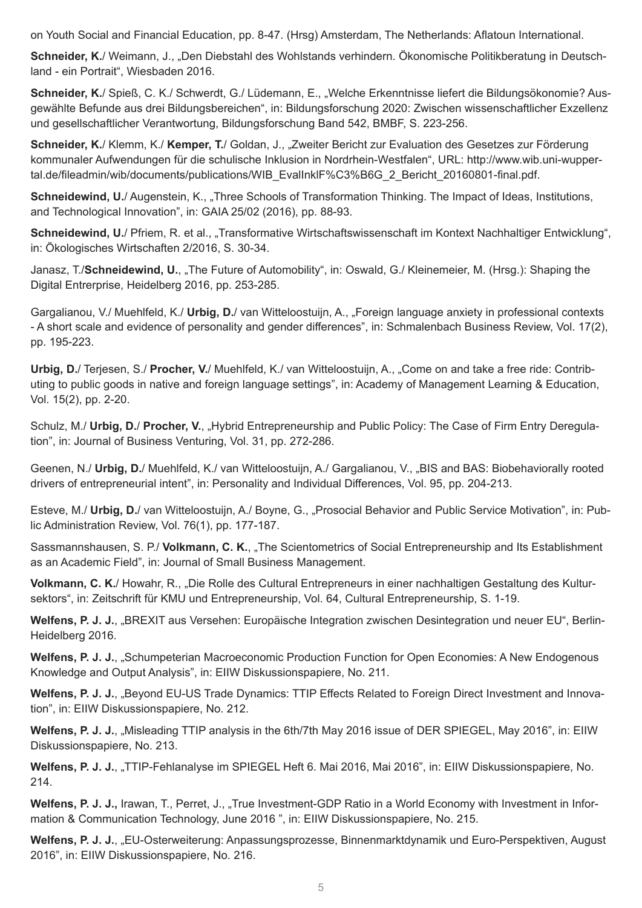on Youth Social and Financial Education, pp. 8-47. (Hrsg) Amsterdam, The Netherlands: Aflatoun International.

**Schneider, K.**/ Weimann, J., "Den Diebstahl des Wohlstands verhindern. Ökonomische Politikberatung in Deutschland - ein Portrait", Wiesbaden 2016.

**Schneider, K.**/ Spieß, C. K./ Schwerdt, G./ Lüdemann, E., "Welche Erkenntnisse liefert die Bildungsökonomie? Ausgewählte Befunde aus drei Bildungsbereichen", in: Bildungsforschung 2020: Zwischen wissenschaftlicher Exzellenz und gesellschaftlicher Verantwortung, Bildungsforschung Band 542, BMBF, S. 223-256.

**Schneider, K.**/ Klemm, K./ **Kemper, T.**/ Goldan, J., "Zweiter Bericht zur Evaluation des Gesetzes zur Förderung kommunaler Aufwendungen für die schulische Inklusion in Nordrhein-Westfalen", URL: http://www.wib.uni-wuppertal.de/fileadmin/wib/documents/publications/WIB\_EvalInklF%C3%B6G\_2\_Bericht\_20160801-final.pdf.

**Schneidewind, U.**/ Augenstein, K., "Three Schools of Transformation Thinking. The Impact of Ideas, Institutions, and Technological Innovation", in: GAIA 25/02 (2016), pp. 88-93.

**Schneidewind, U.**/ Pfriem, R. et al., "Transformative Wirtschaftswissenschaft im Kontext Nachhaltiger Entwicklung", in: Ökologisches Wirtschaften 2/2016, S. 30-34.

Janasz, T./**Schneidewind, U.**, "The Future of Automobility", in: Oswald, G./ Kleinemeier, M. (Hrsg.): Shaping the Digital Entrerprise, Heidelberg 2016, pp. 253-285.

Gargalianou, V./ Muehlfeld, K./ Urbig, D./ van Witteloostuijn, A., "Foreign language anxiety in professional contexts - A short scale and evidence of personality and gender differences", in: Schmalenbach Business Review, Vol. 17(2), pp. 195-223.

**Urbig, D.**/ Terjesen, S./ **Procher, V.**/ Muehlfeld, K./ van Witteloostuijn, A., "Come on and take a free ride: Contributing to public goods in native and foreign language settings", in: Academy of Management Learning & Education, Vol. 15(2), pp. 2-20.

Schulz, M./ **Urbig, D.**/ **Procher, V.**, "Hybrid Entrepreneurship and Public Policy: The Case of Firm Entry Deregulation", in: Journal of Business Venturing, Vol. 31, pp. 272-286.

Geenen, N./ **Urbig, D.**/ Muehlfeld, K./ van Witteloostuijn, A./ Gargalianou, V., "BIS and BAS: Biobehaviorally rooted drivers of entrepreneurial intent", in: Personality and Individual Differences, Vol. 95, pp. 204-213.

Esteve, M./ Urbig, D./ van Witteloostuijn, A./ Boyne, G., "Prosocial Behavior and Public Service Motivation", in: Public Administration Review, Vol. 76(1), pp. 177-187.

Sassmannshausen, S. P./ **Volkmann, C. K.**, "The Scientometrics of Social Entrepreneurship and Its Establishment as an Academic Field", in: Journal of Small Business Management.

**Volkmann, C. K.**/ Howahr, R., "Die Rolle des Cultural Entrepreneurs in einer nachhaltigen Gestaltung des Kultursektors", in: Zeitschrift für KMU und Entrepreneurship, Vol. 64, Cultural Entrepreneurship, S. 1-19.

**Welfens, P. J. J.**, "BREXIT aus Versehen: Europäische Integration zwischen Desintegration und neuer EU", Berlin-Heidelberg 2016.

**Welfens, P. J. J.**, "Schumpeterian Macroeconomic Production Function for Open Economies: A New Endogenous Knowledge and Output Analysis", in: EIIW Diskussionspapiere, No. 211.

**Welfens, P. J. J.**, "Beyond EU-US Trade Dynamics: TTIP Effects Related to Foreign Direct Investment and Innovation", in: EIIW Diskussionspapiere, No. 212.

**Welfens, P. J. J.**, "Misleading TTIP analysis in the 6th/7th May 2016 issue of DER SPIEGEL, May 2016", in: EIIW Diskussionspapiere, No. 213.

Welfens, P. J. J., "TTIP-Fehlanalyse im SPIEGEL Heft 6. Mai 2016, Mai 2016", in: EIIW Diskussionspapiere, No. 214.

Welfens, P. J. J., Irawan, T., Perret, J., "True Investment-GDP Ratio in a World Economy with Investment in Information & Communication Technology, June 2016 ", in: EIIW Diskussionspapiere, No. 215.

**Welfens, P. J. J.**, "EU-Osterweiterung: Anpassungsprozesse, Binnenmarktdynamik und Euro-Perspektiven, August 2016", in: EIIW Diskussionspapiere, No. 216.